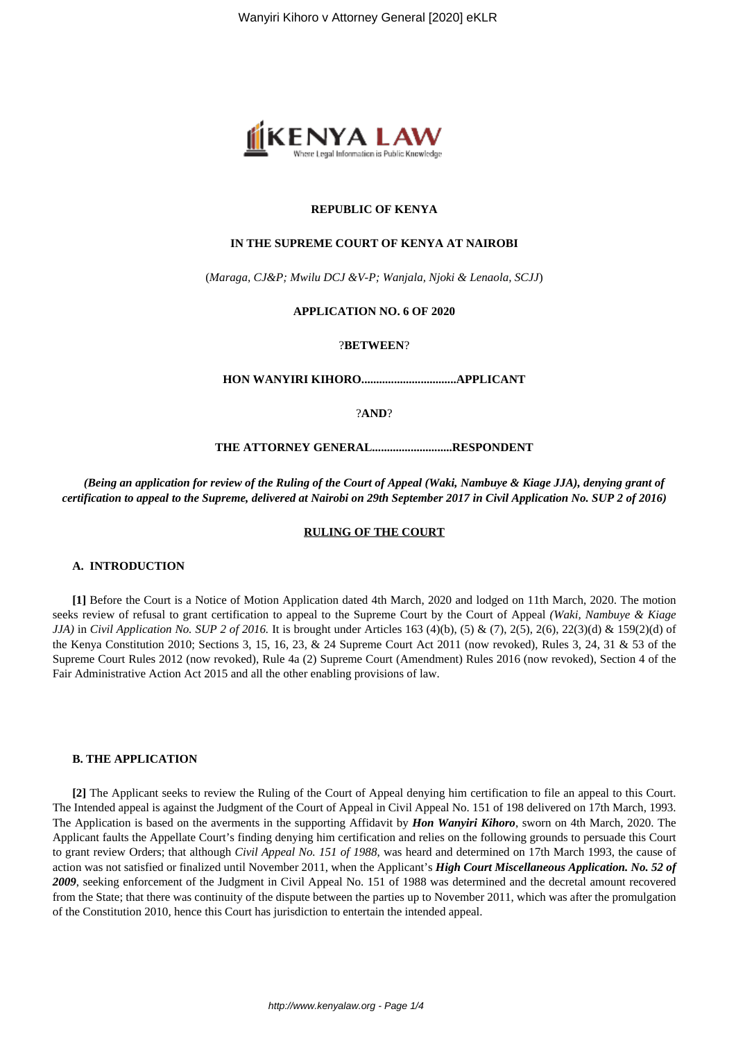

## **REPUBLIC OF KENYA**

## **IN THE SUPREME COURT OF KENYA AT NAIROBI**

(*Maraga, CJ&P; Mwilu DCJ &V-P; Wanjala, Njoki & Lenaola, SCJJ*)

## **APPLICATION NO. 6 OF 2020**

?**BETWEEN**?

**HON WANYIRI KIHORO................................APPLICANT**

?**AND**?

**THE ATTORNEY GENERAL...........................RESPONDENT**

*(Being an application for review of the Ruling of the Court of Appeal (Waki, Nambuye & Kiage JJA), denying grant of certification to appeal to the Supreme, delivered at Nairobi on 29th September 2017 in Civil Application No. SUP 2 of 2016)*

## **RULING OF THE COURT**

## **A. INTRODUCTION**

**[1]** Before the Court is a Notice of Motion Application dated 4th March, 2020 and lodged on 11th March, 2020. The motion seeks review of refusal to grant certification to appeal to the Supreme Court by the Court of Appeal *(Waki, Nambuye & Kiage JJA*) in *Civil Application No. SUP 2 of 2016*. It is brought under Articles 163 (4)(b), (5) & (7), 2(5), 2(6), 22(3)(d) & 159(2)(d) of the Kenya Constitution 2010; Sections 3, 15, 16, 23, & 24 Supreme Court Act 2011 (now revoked), Rules 3, 24, 31 & 53 of the Supreme Court Rules 2012 (now revoked), Rule 4a (2) Supreme Court (Amendment) Rules 2016 (now revoked), Section 4 of the Fair Administrative Action Act 2015 and all the other enabling provisions of law.

## **B. THE APPLICATION**

**[2]** The Applicant seeks to review the Ruling of the Court of Appeal denying him certification to file an appeal to this Court. The Intended appeal is against the Judgment of the Court of Appeal in Civil Appeal No. 151 of 198 delivered on 17th March, 1993. The Application is based on the averments in the supporting Affidavit by *Hon Wanyiri Kihoro*, sworn on 4th March, 2020. The Applicant faults the Appellate Court's finding denying him certification and relies on the following grounds to persuade this Court to grant review Orders; that although *Civil Appeal No. 151 of 1988*, was heard and determined on 17th March 1993, the cause of action was not satisfied or finalized until November 2011, when the Applicant's *High Court Miscellaneous Application. No. 52 of 2009*, seeking enforcement of the Judgment in Civil Appeal No. 151 of 1988 was determined and the decretal amount recovered from the State; that there was continuity of the dispute between the parties up to November 2011, which was after the promulgation of the Constitution 2010, hence this Court has jurisdiction to entertain the intended appeal.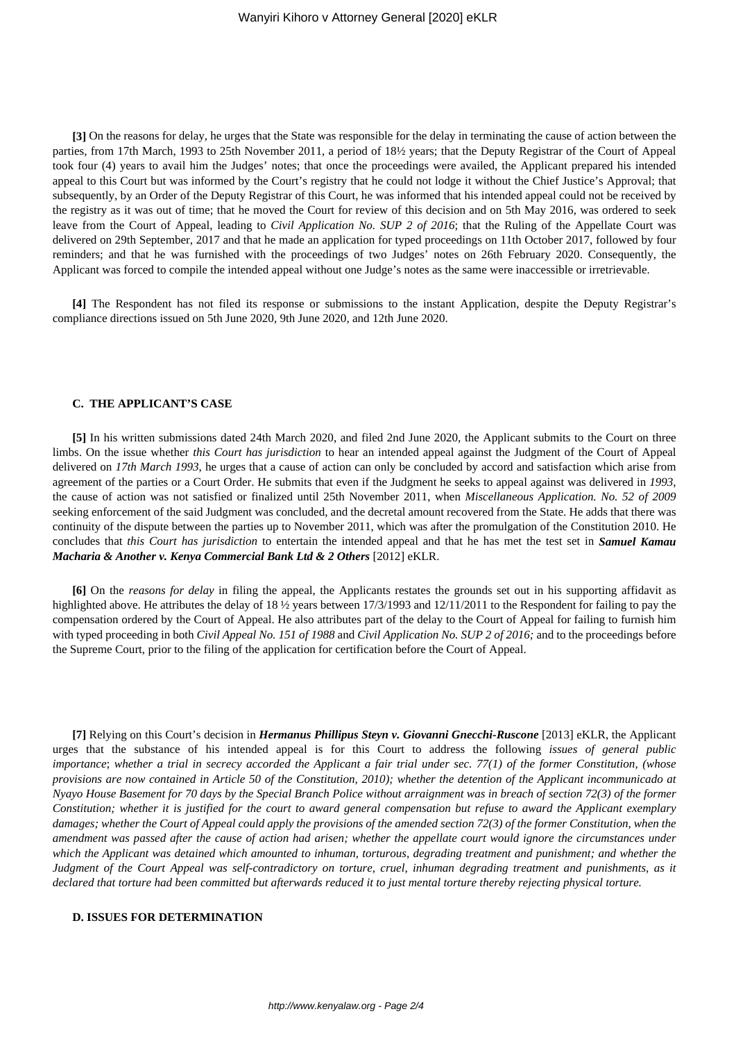**[3]** On the reasons for delay, he urges that the State was responsible for the delay in terminating the cause of action between the parties, from 17th March, 1993 to 25th November 2011, a period of 18½ years; that the Deputy Registrar of the Court of Appeal took four (4) years to avail him the Judges' notes; that once the proceedings were availed, the Applicant prepared his intended appeal to this Court but was informed by the Court's registry that he could not lodge it without the Chief Justice's Approval; that subsequently, by an Order of the Deputy Registrar of this Court, he was informed that his intended appeal could not be received by the registry as it was out of time; that he moved the Court for review of this decision and on 5th May 2016, was ordered to seek leave from the Court of Appeal, leading to *Civil Application No. SUP 2 of 2016*; that the Ruling of the Appellate Court was delivered on 29th September, 2017 and that he made an application for typed proceedings on 11th October 2017, followed by four reminders; and that he was furnished with the proceedings of two Judges' notes on 26th February 2020. Consequently, the Applicant was forced to compile the intended appeal without one Judge's notes as the same were inaccessible or irretrievable.

**[4]** The Respondent has not filed its response or submissions to the instant Application, despite the Deputy Registrar's compliance directions issued on 5th June 2020, 9th June 2020, and 12th June 2020.

## **C. THE APPLICANT'S CASE**

**[5]** In his written submissions dated 24th March 2020, and filed 2nd June 2020, the Applicant submits to the Court on three limbs. On the issue whether *this Court has jurisdiction* to hear an intended appeal against the Judgment of the Court of Appeal delivered on *17th March 1993*, he urges that a cause of action can only be concluded by accord and satisfaction which arise from agreement of the parties or a Court Order. He submits that even if the Judgment he seeks to appeal against was delivered in *1993*, the cause of action was not satisfied or finalized until 25th November 2011, when *Miscellaneous Application. No. 52 of 2009* seeking enforcement of the said Judgment was concluded, and the decretal amount recovered from the State. He adds that there was continuity of the dispute between the parties up to November 2011, which was after the promulgation of the Constitution 2010. He concludes that *this Court has jurisdiction* to entertain the intended appeal and that he has met the test set in *Samuel Kamau Macharia* & Another v. Kenya Commercial Bank Ltd & 2 Others [2012] eKLR.

**[6]** On the *reasons for delay* in filing the appeal, the Applicants restates the grounds set out in his supporting affidavit as highlighted above. He attributes the delay of 18 <sup>1</sup>/<sub>2</sub> years between 17/3/1993 and 12/11/2011 to the Respondent for failing to pay the compensation ordered by the Court of Appeal. He also attributes part of the delay to the Court of Appeal for failing to furnish him with typed proceeding in both *Civil Appeal No. 151 of 1988* and *Civil Application No. SUP 2 of 2016;* and to the proceedings before the Supreme Court, prior to the filing of the application for certification before the Court of Appeal.

**[7]** Relying on this Court's decision in *Hermanus Phillipus Steyn v. Giovanni Gnecchi-Ruscone* [2013] eKLR, the Applicant urges that the substance of his intended appeal is for this Court to address the following *issues of general public importance*; *whether a trial in secrecy accorded the Applicant a fair trial under sec. 77(1) of the former Constitution, (whose provisions are now contained in Article 50 of the Constitution, 2010); whether the detention of the Applicant incommunicado at Nyayo House Basement for 70 days by the Special Branch Police without arraignment was in breach of section 72(3) of the former Constitution; whether it is justified for the court to award general compensation but refuse to award the Applicant exemplary damages; whether the Court of Appeal could apply the provisions of the amended section 72(3) of the former Constitution, when the amendment was passed after the cause of action had arisen; whether the appellate court would ignore the circumstances under which the Applicant was detained which amounted to inhuman, torturous, degrading treatment and punishment; and whether the Judgment of the Court Appeal was self-contradictory on torture, cruel, inhuman degrading treatment and punishments, as it declared that torture had been committed but afterwards reduced it to just mental torture thereby rejecting physical torture.*

## **D. ISSUES FOR DETERMINATION**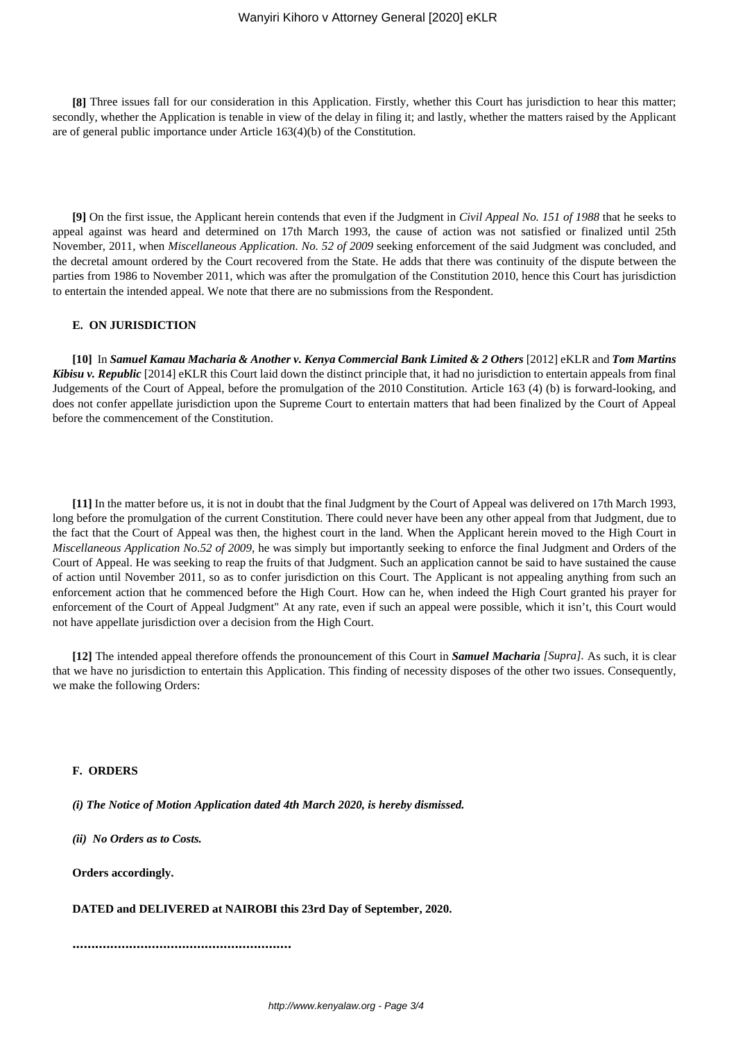**[8]** Three issues fall for our consideration in this Application. Firstly, whether this Court has jurisdiction to hear this matter; secondly, whether the Application is tenable in view of the delay in filing it; and lastly, whether the matters raised by the Applicant are of general public importance under Article 163(4)(b) of the Constitution.

**[9]** On the first issue, the Applicant herein contends that even if the Judgment in *Civil Appeal No. 151 of 1988* that he seeks to appeal against was heard and determined on 17th March 1993, the cause of action was not satisfied or finalized until 25th November, 2011, when *Miscellaneous Application. No. 52 of 2009* seeking enforcement of the said Judgment was concluded, and the decretal amount ordered by the Court recovered from the State. He adds that there was continuity of the dispute between the parties from 1986 to November 2011, which was after the promulgation of the Constitution 2010, hence this Court has jurisdiction to entertain the intended appeal. We note that there are no submissions from the Respondent.

## **E. ON JURISDICTION**

**[10]** In *Samuel Kamau Macharia & Another v. Kenya Commercial Bank Limited & 2 Others* [2012] eKLR and *Tom Martins Kibisu v. Republic* [2014] eKLR this Court laid down the distinct principle that, it had no jurisdiction to entertain appeals from final Judgements of the Court of Appeal, before the promulgation of the 2010 Constitution. Article 163 (4) (b) is forward-looking, and does not confer appellate jurisdiction upon the Supreme Court to entertain matters that had been finalized by the Court of Appeal before the commencement of the Constitution.

**[11]** In the matter before us, it is not in doubt that the final Judgment by the Court of Appeal was delivered on 17th March 1993, long before the promulgation of the current Constitution. There could never have been any other appeal from that Judgment, due to the fact that the Court of Appeal was then, the highest court in the land. When the Applicant herein moved to the High Court in *Miscellaneous Application No.52 of 2009,* he was simply but importantly seeking to enforce the final Judgment and Orders of the Court of Appeal. He was seeking to reap the fruits of that Judgment. Such an application cannot be said to have sustained the cause of action until November 2011, so as to confer jurisdiction on this Court. The Applicant is not appealing anything from such an enforcement action that he commenced before the High Court. How can he, when indeed the High Court granted his prayer for enforcement of the Court of Appeal Judgment" At any rate, even if such an appeal were possible, which it isn't, this Court would not have appellate jurisdiction over a decision from the High Court.

**[12]** The intended appeal therefore offends the pronouncement of this Court in *Samuel Macharia [Supra].* As such, it is clear that we have no jurisdiction to entertain this Application. This finding of necessity disposes of the other two issues. Consequently, we make the following Orders:

#### **F. ORDERS**

*(i) The Notice of Motion Application dated 4th March 2020, is hereby dismissed.*

*(ii) No Orders as to Costs.*

**Orders accordingly.**

**DATED and DELIVERED at NAIROBI this 23rd Day of September, 2020.**

**..........................................................**